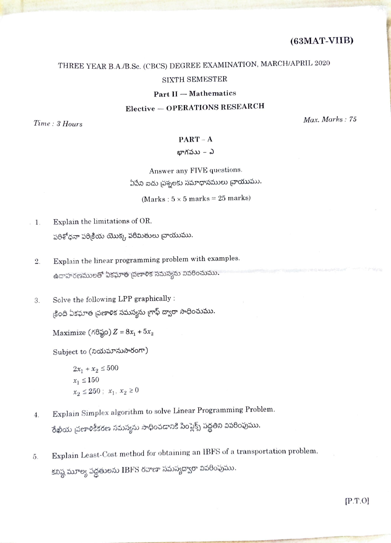# THREE YEAR B.A./B.Sc. (CBCS) DEGREE EXAMINATION, MARCH/APRIL 2020 SIXTH SEMESTER

## Part II - Mathematics

## Elective-OPERATIONS RESEARCH

 $Time: 3 \; Hours \;$  Max. Marks : 75

## $PART - A$

#### బాగపుు $-$  ఎ

Answer any FIVE questions. 

(Marks:  $5 \times 5$  marks = 25 marks)

- 1. Explain the limitations of OR. పరిశోధనా పరిక్రియ యొక్క పరిమితులు వ్రాయుము.
	- Explain the linear programming problem with examples. 2. ఉదాహరణములతో ఏకఘాత (పణాళిక సమస్యను వివరించుము.
	- 3. Solve the following LPP graphically :<br>క్రింది ఏకఘాత <sub>(</sub>పణాళిక సమస్యను గ్రాఫ్ ద్వారా సాధించుము.

Maximize  $(\text{AG}_8^{\times} \text{O})Z = 8x_1 + 5x_2$ 

Subject to (నియమానుసారంగా)

 $2x_1 + x_2 \le 500$  $x_1 \leq 150$  $x_2 \le 250$ ;  $x_1, x_2 \ge 0$ 

- Explain Simplex algorithm to solve Linear Programming Problem.<br>రేఖీయ <sub>l</sub>వణాళికీకరణ సమస్యను సాధించడానికి సింప్లెక్స్ పద్ధతిని వివరింపుము. 4
- Explain Least-Cost method for obtaining an 1BFS of a transportation problem. 5. కనిష్ఠ మూల్య పద్ధతులను IBFS రవాణా సమస్యద్వారా వివరింపుము.

P.T.O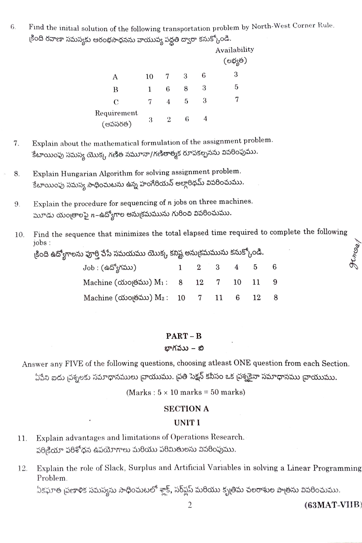Find the initial solution of the following transportation problem by North-West Corner Rule. 6. ్షింది రవాణా సమస్యకు ఆరంభసాధనను వాయువ్య పద్ధతి ద్వారా కనుక్కోండి.

|                        |    |                |   |   | Availability<br>(లభ్యత) |
|------------------------|----|----------------|---|---|-------------------------|
| Α                      | 10 |                | 3 | 6 | З                       |
| Β                      | 1  | 6              | 8 | 3 | 5                       |
| C                      | 7  | 4              | 5 | 3 |                         |
| Requirement<br>(అవసరత) | 3  | $\overline{2}$ | 6 | 4 |                         |

- Explain about the mathematical formulation of the assignment problem. 7. కేటాయింపు సమస్య యొక్క గణిత నమూనా/గణితాత్మక రూపకల్పనను వివరింపుము.
- Explain Hungarian Algorithm for solving assignment problem. 8. కేటాయింపు సమస్య సాధించుటను ఉన్న హంగేరియన్ అల్గారిథమ్ వివరించుము.
- Explain the procedure for sequencing of  $n$  jobs on three machines. 9. మూడు యంత్రాలపై  $n$ –ఉద్యోగాల అను<sub>క్</sub>మమును గురించి వివరించుము.
- Find the sequence that minimizes the total elapsed time required to complete the following 10. jobs:

కింది ఉద్యోగాలను పూర్తి చేసే సమయము యొక్క కనిష్ట అను<sub>క్</sub>మమును కనుక్కోండి.  $I_{ab}$   $(A56,15)$  $\Lambda$  $\overline{5}$  $\blacksquare$  $\Omega$  $\circ$  $\boldsymbol{\kappa}$ 

| $000 \cdot 600 \times 100$                            | $\overline{a}$ | $\mathbf{u}$ | $\mathbf{L}$ | $\mathbf{u}$ |
|-------------------------------------------------------|----------------|--------------|--------------|--------------|
| Machine ( ωνοι (ε Δου) Μι: 8 12 7 10 11 9             |                |              |              |              |
| Machine ( ώνοι (δεν λεύτρους 10 - 7 - 11 - 6 - 12 - 8 |                |              |              |              |

## $PART - B$

#### బాగవుు – బి

Answer any FIVE of the following questions, choosing atleast ONE question from each Section. ఏపేని ఐదు చ్రశ్నలకు సమాధానములు చ్రాయుము. చ్రతి సెక్షన్ కనీసం ఒక చ్రశ్నకైనా సమాధానము చ్రాయుము.

(Marks:  $5 \times 10$  marks = 50 marks)

## **SECTION A**

## **UNITI**

- Explain advantages and limitations of Operations Research. 11. పరిక్రియా పరిశోధన ఉపయోగాలు మరియు పరిమితులను వివరింపుము.
- Explain the role of Slack, Surplus and Artificial Variables in solving a Linear Programming 12. Problem.

ఏకఫూత <sub>l</sub>పణాళిక సమస్యను సాధించుటలో శ్లాక్, సర్మ్లస్ మరియు కృత్రిమ చలరాశుల పాత్రను వివరించుము.

 $(63<sub>MAT-VIIB</sub>)$ 

Hisap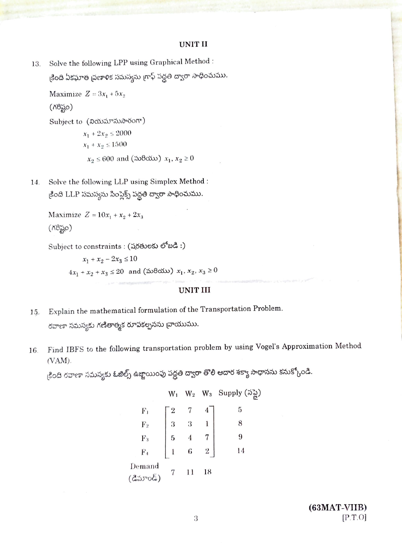#### **UNIT II**

Solve the following LPP using Graphical Method : 13. క్రింది ఏకఘాత ప్రణాళిక సమస్యను గ్రాఫ్ పద్ధతి ద్వారా సాధించుము.

Maximize  $Z = 3x_1 + 5x_2$  $(78)$ Subject to (నియమానుసారంగా)  $x_1 + 2x_2 \le 2000$  $x_1 + x_2 \le 1500$  $x_2 \le 600$  and (మరియు)  $x_1, x_2 \ge 0$ 

Solve the following LLP using Simplex Method : 14. కింది LLP సమస్యను సింప్లెక్స్ పద్ధతి ద్వారా సాధించుము.

```
Maximize Z = 10x_1 + x_2 + 2x_3(X8,0)
```
Subject to constraints : (adesvess etad :)

 $x_1 + x_2 - 2x_3 \le 10$  $4x_1 + x_2 + x_3 \le 20$  and (మరియు)  $x_1, x_2, x_3 \ge 0$ 

#### **UNIT III**

- Explain the mathematical formulation of the Transportation Problem. 15 రవాణా సమస్యకు గణితాత్మక రూపకల్పనను వ్రాయుము.
- Find IBFS to the following transportation problem by using Vogel's Approximation Method 16.  $(VAM)$

కింది రవాణా సమస్యకు ఓజిల్స్ ఉజ్జాయింపు పద్దతి ద్వారా తొలి ఆదార శక్యా సాధానను కనుక్కోండి.

|                     | $W_1$                                           |                                                            | $W_2$ $W_3$ Supply $(\mathfrak{J}_{\mathbb{R}^2}^{\mathbb{Z}})$ |
|---------------------|-------------------------------------------------|------------------------------------------------------------|-----------------------------------------------------------------|
| $F_1$               |                                                 |                                                            | 5                                                               |
| $\overline{F}_2$    |                                                 | $\left[\begin{array}{ccc} 2&7&4\ 3&3&1 \end{array}\right]$ | 8                                                               |
| $F_3$<br>$F_4$      | - 5                                             |                                                            | 9                                                               |
|                     | $\begin{array}{ccc} - & - \\ 1 & 6 \end{array}$ |                                                            | 14                                                              |
| Demand<br>(డిమాండ్) |                                                 | 18                                                         |                                                                 |